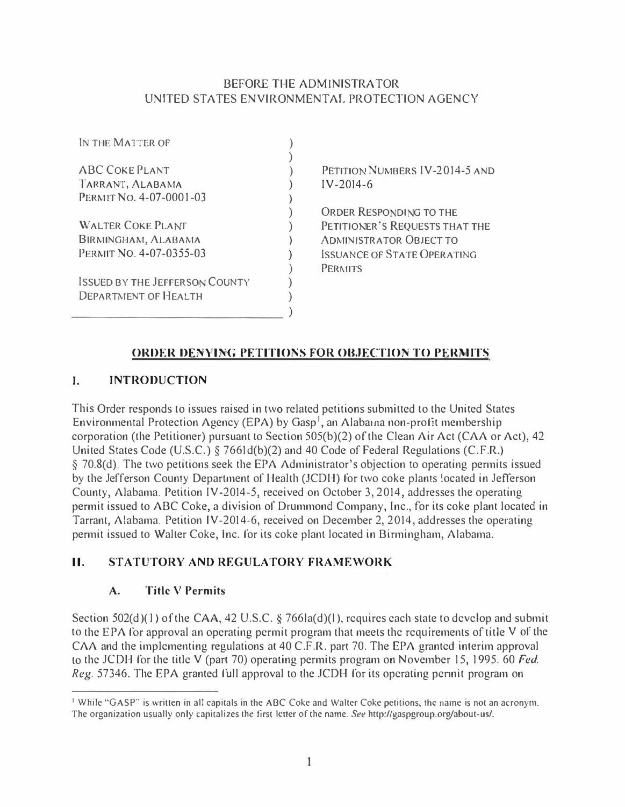## BEFORE THE ADMINISTRATOR UNITED STATES ENVIRONMENTAL PROTECTION AGENCY

| UNITED STATES ENVIRONMENTAL PROT<br>IN THE MATTER OF |                   |
|------------------------------------------------------|-------------------|
|                                                      |                   |
| <b>ABC COKE PLANT</b>                                | <b>PETITION N</b> |
| TARRANT, ALABAMA                                     | $IV - 2014 - 6$   |
| PERMIT No. 4-07-0001-03                              |                   |
|                                                      | <b>ORDER RES</b>  |
| <b>WALTER COKE PLANT</b>                             | PETITIONER        |
| <b>BIRMINGHAM, ALABAMA</b>                           | <b>ADMINISTR</b>  |
| PERMIT NO. 4-07-0355-03                              | <b>ISSUANCE C</b> |
|                                                      | <b>PERMITS</b>    |
| <b>ISSUED BY THE JEFFERSON COUNTY</b>                |                   |
| <b>DEPARTMENT OF HEALTH</b>                          |                   |
|                                                      |                   |
|                                                      |                   |

UMBERS  $IV-2014-5$  and

**PONDING TO THE SECOCESTS THAT THE** ATOR OBJECT TO **PERMITE OPERATING** 

## ORDER DENYING PETITIONS FOR OBJECTION TO PERMITS

## I. INTRODUCTION

This Order responds to issues raised in two related petitions submitted to the United States Environmental Protection Agency (EPA) by Gasp<sup>1</sup>, an Alabama non-profit membership corporation (the Petitioner) pursuant to Section 505(b)(2) of the Clean Air Act (CAA or Act), 42 United States Code (U.S.C.)  $\S$  7661d(b)(2) and 40 Code of Federal Regulations (C.F.R.) § 70.8(d). The two petitions seek the EPA Administrator's objection to operating permits issued by the Jefferson County Department of Health (JCDH) for two coke plants located in Jefferson County, Alabama. Petition IV-2014-5, received on October 3, 2014, addresses the operating permit issued to ABC Coke, a division of Drummond Company, Inc., for its coke plant located in Tarrant, Alabama. Petition IV-2014-6, received on December 2, 2014, addresses the operating permit issued to Walter Coke, Inc. for its coke plant located in Birmingham, Alabama.

## II. STATUTORY AND REGULATORY FRAMEWORK

## A. Title V Permits

Section 502(d)(1) of the CAA, 42 U.S.C. § 766la(d)(1), requires each state to develop and submit to the EPA for approval an operating permit program that meets the requirements of title V of the CAA and the implementing regulations at 40 C.F.R. part 70. The EPA granted interim approval to the JCDH for the title V (part 70) operating permits program on November 15, 1995. 60 Fed. Reg. 57346. The EPA granted full approval to the JCDH for its operating pennit program on

<sup>&</sup>lt;sup>1</sup> While "GASP" is written in all capitals in the ABC Coke and Walter Coke petitions, the name is not an acronym. The organization usually only capitalizes the first letter of the name. See http://gaspgroup.org/about-us/.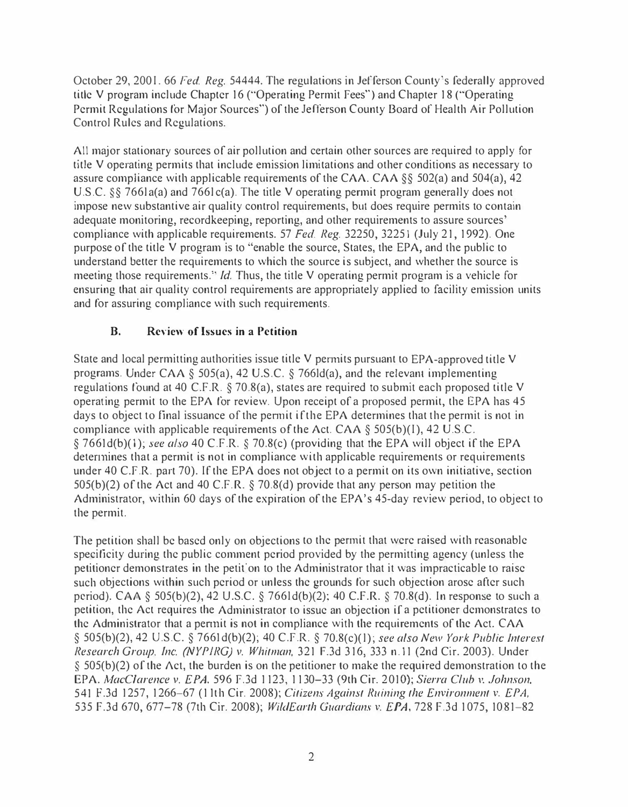October 29, 2001. 66 Fed. Reg. 54444. The regulations in Jefferson County's federally approved title V program include Chapter 16 ("Operating Permit Fees") and Chapter 18 ("Operating Permit Regulations for Major Sources") of the Jefferson County Board of Health Air Pollution Control Rules and Regulations.

All major stationary sources of air pollution and certain other sources are required lo apply for title V operating permits that include emission limitations and other conditions as necessary to assure compliance with applicable requirements of the CAA. CAA §§ 502(a) and 504(a), 42 U.S.C. §§ 7661a(a) and 7661c(a). The title V operating permit program generally does not impose new substantive air quality control requirements, but does require permits to contain adequate monitoring, recordkeeping, reporting, and other requirements to assure sources' compliance with applicable requirements. 57 Fed. Reg. 32250, 32251 (July 21, 1992). One purpose of the title V program is to "enable the source, States, the EPA, and the public to understand better the requirements to which the source is subject, and whether the source is meeting those requirements." *Id.* Thus, the title V operating permit program is a vehicle for ensuring that air quality control requirements are appropriately applied to facility emission units and for assuring compliance with such requirements.

## B. Review of Issues in a Petition

State and local permitting authorities issue title  $V$  permits pursuant to EPA-approved title  $V$ programs. Under CAA § 505(a), 42 U.S.C. § 766ld(a), and the relevant implementing regulations found at 40 C.F.R. § 70.8(a), states are required to submit each proposed title V operating permit to the EPA for review. Upon receipt of a proposed permit, the EPA has 45 days to object to final issuance of the permit if the EPA determines that the permit is not in compliance with applicable requirements of the Act. CAA  $\S$  505(b)(I), 42 U.S.C. § 7661d(b)(1); see also 40 C.F.R. § 70.8(c) (providing that the EPA will object if the EPA detennines that a permit is not in compliance with applicable requirements or requirements under 40 C.F.R. part 70). If the EPA does not object to a permit on its own initiative, section 505(b)(2) of the Act and 40 C.F.R. § 70.8(d) provide that any person may petition the Administrator, within 60 days of the expiration of the EPA's 45-day review period, to object to the permit.

The petition shall be based only on objections to the permit that were raised with reasonable specificity during the public comment period provided by the permitting agency (unless the petitioner demonstrates in the petif on to the Administrator that it was impracticable to raise such objections within such period or unless the grounds for such objection arose after such period). CAA § 505(b)(2), 42 U.S.C. § 766ld(b)(2); 40 C.F.R. § 70.8(d). In response to such a petition, the Act requires the Administrator to issue an objection if a petitioner demonstrates to the Administrator that a permit is not in compliance with the requirements of the Act. CAA § 505(b)(2), 42 U.S.C. § 7661d(b)(2); 40 C.F.R. § 70.8(c)(1); see also New York Public Interest Research Group, Inc. (NYP1RG) v. Whitman, 32 1 f.3d 316, 333 n.11 (2nd Cir. 2003). Under § 505(b)(2) of the Act, the burden is on the petitioner to make the required demonstration to the EPA. MacClarence v. EPA, 596 F.3d 1123, 1130–33 (9th Cir. 2010); Sierra Club v. Johnson, 541 F.3d 1257, 1266-67 (11th Cir. 2008); Citizens Against Ruining the Environment v. EPA, 535 F.3d 670, 677-78 (7th Cir. 2008); WildEarth Guardians v. EPA, 728 F.3d 1075, 1081-82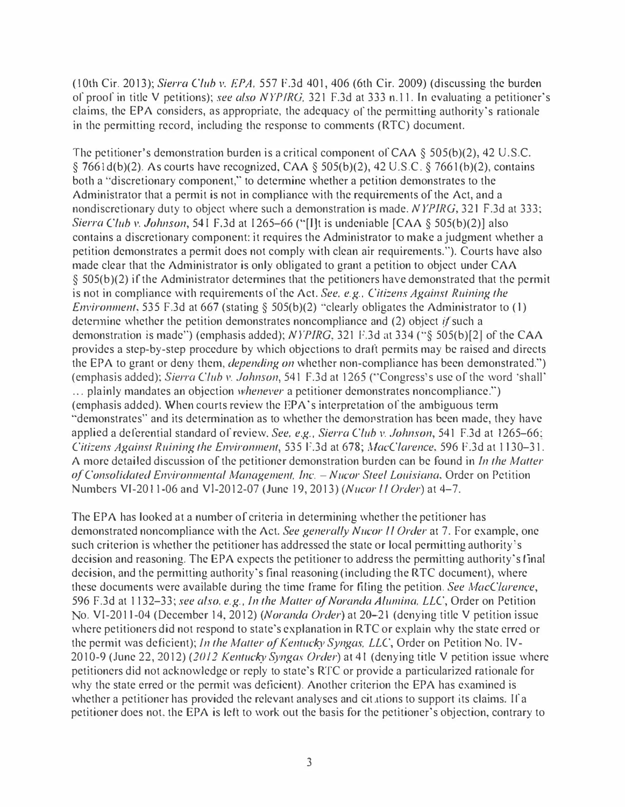(10th Cir. 2013); Sierra Club v. EPA, 557 F.3d 401, 406 (6th Cir. 2009) (discussing the burden of proof in title V petitions); see also NYPIRG, 321 F.3d at 333 n.11. In evaluating a petitioner's claims, the EPA considers, as appropriate, the adequacy of the permitting authority's rationale in the permitting record, including the response to comments (RTC) document.

The petitioner's demonstration burden is a critical component of CAA § 505(b)(2), 42 U.S.C. § 7661 $d(b)(2)$ . As courts have recognized, CAA § 505(b)(2), 42 U.S.C. § 7661(b)(2), contains both a "discretionary component," to determine whether a petition demonstrates to the Administrator that a permit is not in compliance with the requirements of the Act, and a nondiscretionary duty to object where such a demonstration is made. NYPIRG, 321 F.3d at 333; Sierra Club v. Johnson, 541 F.3d at 1265–66 ("[I]t is undeniable [CAA § 505(b)(2)] also contains a discretionary component: it requires the Administrator to make a judgment whether a petition demonstrates a permit does not comply with clean air requirements."). Courts have also made clear that the Administrator is only obligated to grant a petition to object under CAA § 505(b )(2) if the Administrator determines that the petitioners have demonstrated that the permit is not in compliance with requirements of the Act. See, e.g., Citizens Against Ruining the Environment, 535 F.3d at 667 (stating § 505(b)(2) "clearly obligates the Administrator to (1) determine whether the petition demonstrates noncompliance and  $(2)$  object if such a demonstration is made") (emphasis added); NYPIRG, 321 P.3d at 334 ("§ 505(b)[2] of the CAA provides a step-by-step procedure by which objections to draft permits may be raised and directs the EPA to grant or deny them, *depending on* whether non-compliance has been demonstrated.") (emphasis added); Sierra Club v. Johnson, 541 F.3d at 1265 ('·Congress's use of the word ·shall' ... plainly mandates an objection whenever a petitioner demonstrates noncompliance.") (emphasis added). When courts review the EPA's interpretation of the ambiguous term "demonstrates" and its determination as to whether the demorstration has been made, they have applied a deferential standard of review. See, e.g., Sierra Club v. Johnson, 541 F.3d at 1265-66; Citizens Against Ruining the Environment, 535 F.3d at 678; MacClarence, 596 F.3d at 1130-31. A more detailed discussion of the petitioner demonstration burden can be found in *In the Matter* of Consolidated Environmental Management, Inc.  $-Nu$ cor Steel Louisiana, Order on Petition Numbers VI-2011-06 and VI-2012-07 (June 19, 2013) (Nucor ll Order) at 4-7.

The EPA has looked at a number of criteria in determining whether the petitioner has demonstrated noncompliance with the Act. See generally Nucor *II Order* at 7. For example, one such criterion is whether the petitioner has addressed the state or local permitting authority's decision and reasoning. The EPA expects the petitioner to address the permitting authority's final decision, and the permitting authority's final reasoning (including the RTC document), where these documents were available during the time frame for filing the petition. See MacClarence, 596 F.3d at 1132-33; see also, e.g., In the Matter of Noranda Alumina, LLC, Order on Petition No. VI-2011-04 (December 14, 2012) (Noranda Order) at 20–21 (denying title V petition issue where petitioners did not respond to state's explanation in RTC or explain why the state erred or the permit was deficient); In the Matter of Kentucky Syngas, LLC, Order on Petition No. IV-2010-9 (June 22, 2012) (2012 Kentucky Syngas Order) at 41 (denying title V petition issue where petitioners did not acknowledge or reply to state's RTC or provide a particularized rationale for why the state erred or the permit was deficient). Another criterion the EPA has examined is whether a petitioner has provided the relevant analyses and cit tions to support its claims. If a petitioner does not, the EPA is left to work out the basis for the petitioner's objection, contrary to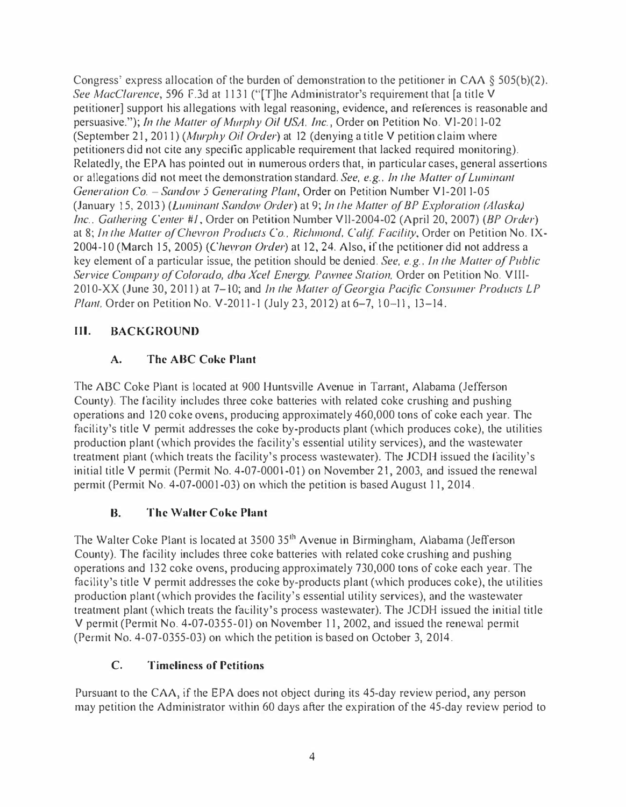Congress' express allocation of the burden of demonstration to the petitioner in CAA  $\S$  505(b)(2). See MacClarence, 596 F.3d at 1131 ("[T]he Administrator's requirement that [a title V petitioner] support his allegations with legal reasoning, evidence, and references is reasonable and persuasive."); In the Matter of Mwphy Oil USA, Inc., Order on Petition No. Vl-201 1-02 (September 21, 2011) (Murphy Oil Order) at 12 (denying a title V petition claim where petitioners did not cite any specific applicable requirement that lacked required monitoring). Relatedly, the EPA has pointed out in numerous orders that, in particular cases, general assertions or allegations did not meet the demonstration standard. See, e.g., In the Matter of Luminant Generation Co. - Sandow 5 Generating Plant, Order on Petition Number V1-2011-05 (January 15, 2013) (Luminant Sandow Order) at 9; In the Matter of BP Exploration (Alaska) Inc., Gathering Center #1, Order on Petition Number VII-2004-02 (April 20, 2007) (BP Order) at 8; Jn the Matter of Chevron Products Co., Richmond, Calif. Facility, Order on Petition No. IX-2004-10 (March 15, 2005) (Chevron Order) at 12, 24. Also, if the petitioner did not address a key element of a particular issue, the petition should be denied. See, e.g., Jn the Matter of Public Service Company of Colorado, dba Xcel Energy, Pawnee Station, Order on Petition No. VIII-2010-XX (June 30, 2011) at 7–10; and In the Matter of Georgia Pacific Consumer Products LP Plant, Order on Petition No. V-2011-1 (July 23, 2012) at 6-7, 10-11, 13-14.

# HI. BACKGROUND

# A. The ABC Coke Plant

The ABC Coke Plant is located at 900 Huntsville Avenue in Tarrant, Alabama (Jefferson County). The facility includes three coke batteries with related coke crushing and pushing operations and 120 coke ovens, producing approximately 460,000 tons of coke each year. The facility's title V permit addresses the coke by-products plant (which produces coke), the utilities production plant (which provides the facility's essential utility services), and the wastewater treatment plant (which treats the facility's process wastewater). The JCDH issued the facility's initial title V permit (Permit No. 4-07-0001-01) on November 21, 2003, and issued the renewal permit (Permit No. 4-07-0001-03) on which the petition is based August 11, 2014.

## B. The Walter Coke Plant

The Walter Coke Plant is located at 3500 35<sup>th</sup> Avenue in Birmingham, Alabama (Jefferson County). The facility includes three coke batteries with related coke crushing and pushing operations and 132 coke ovens, producing approximately 730,000 tons of coke each year. The facility's title V permit addresses the coke by-products plant (which produces coke), the utilities production plant (which provides the facility's essential utility services), and the wastewater treatment plant (which treats the facility's process wastewater). The JCDH issued the initial title V permit (Permit No. 4-07-0355-01) on November 11, 2002, and issued the renewal permit (Permit No. 4-07-0355-03) on which the petition is based on October 3, 2014.

#### C. Timeliness of Petitions

Pursuant to the CAA, if the EPA does not object during its 45-day review period, any person may petition the Administrator within 60 days after the expiration of the 45-day review period to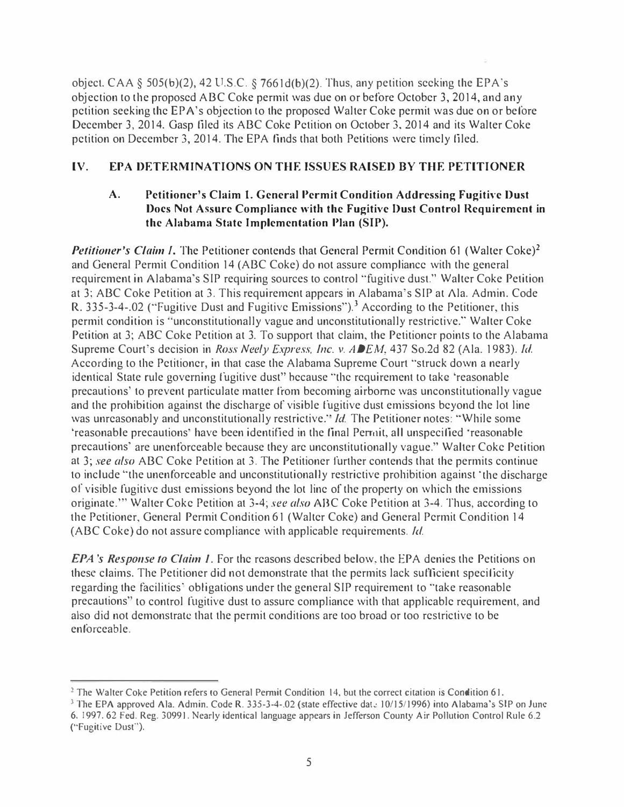object. CAA § 505(b)(2), 42 U.S.C. § 7661d(b)(2). Thus, any petition seeking the EPA's objection to the proposed ABC Coke permit was due on or before October 3, 2014, and any petition seeking the EPA 's objection to the proposed Walter Coke permit was due on or before December 3, 2014. Gasp filed its ABC Coke Petition on October 3, 2014 and its Walter Coke petition on December 3, 2014. The EPA finds that both Petitions were timely filed.

## IV. EPA DETERMINATIONS ON THE ISSUES RAISED BY THE PETITIONER

## A. Petitioner's Claim 1. General Permit Condition Addressing Fugitive Oust Docs Not Assure Compliance with the Fugitive Oust Control Requirement in the Alabama State Implementation Plan (SIP).

Petitioner's Claim I. The Petitioner contends that General Permit Condition 61 (Walter Coke)<sup>2</sup> and General Permit Condition 14 (ABC Coke) do not assure compliance with the general requirement in Alabama's SIP requiring sources to control "fugitive dust." Walter Coke Petition at 3; ABC Coke Petition at 3. This requirement appears in Alabama's SIP at Ala. Admin. Code R. 335-3-4-.02 ("Fugitive Dust and Fugitive Emissions").<sup>3</sup> According to the Petitioner, this permit condition is "unconstitutionally vague and unconstitutionally restrictive." Walter Coke Petition at 3; ABC Coke Petition at 3. To support that claim, the Petitioner points to the Alabama Supreme Court's decision in Ross Neely Express, Inc. v. ADEM, 437 So.2d 82 (Ala. 1983). Id. According to the Petitioner, in that case the Alabama Supreme Court "struck down a nearly identical State rule governing fugitive dust" because "the requirement to take 'reasonable precautions' to prevent particulate matter from becoming airborne was unconstitutionally vague and the prohibition against the discharge of visible fugitive dust emissions beyond the lot line was unreasonably and unconstitutionally restrictive." Id. The Petitioner notes: "While some 'reasonable precautions' have been identified in the final Permit, all unspecified 'reasonable precautions' are unenforceable because they are unconstitutionally vague." Walter Coke Petition at 3; see also ABC Coke Petition at 3. The Petitioner further contends that the permits continue to include "the unenforceable and unconstitutionally restrictive prohibition against 'the discharge of visible fugitive dust emissions beyond the lot line of the property on which the emissions originate."" Walter Coke Petition at 3-4; see also ABC Coke Petition at 3-4. Thus, according to the Petitioner, General Permit Condition 61 (Walter Coke) and General Permit Condition 14 (ABC Coke) do not assure compliance with applicable requirements. Id.

**EPA's Response to Claim 1.** For the reasons described below, the EPA denies the Petitions on these claims. The Petitioner did not demonstrate that the permits lack sufficient specificity regarding the facilities' obligations under the general SIP requirement to "take reasonable" precautions" to control fugitive dust to assure compliance with that applicable requirement, and also did not demonstrate that the permit conditions are too broad or too restrictive to be enforceable.

<sup>&</sup>lt;sup>2</sup> The Walter Coke Petition refers to General Permit Condition 14, but the correct citation is Condition 61.

<sup>&</sup>lt;sup>3</sup> The EPA approved Ala. Admin. Code R. 335-3-4-.02 (state effective dat.: 10/15/1996) into Alabama's SIP on June 6, 1997. 62 Fed. Reg. 30991. Nearly identical language appears in Jefferson County Air Pollution Control Rule 6.2 ("Fugitive Dust").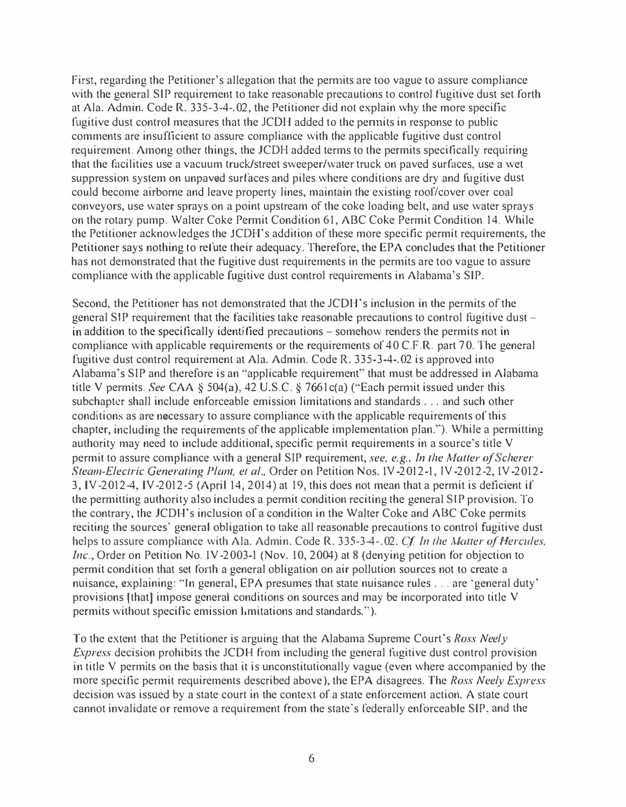First, regarding the Petitioner's allegation that the permits are too vague to assure compliance with the general SIP requirement to take reasonable precautions to control fugitive dust set forth at Ala. Admin. Code R. 335-3-4-.02, the Petitioner did not explain why the more specific fugitive dust control measures that the JCDH added to the permits in response to public comments are insufficient to assure compliance with the applicable fugitive dust control requirement. Among other things, the JCDH added terms to the permits specifically requiring that the facilities use a vacuum truck/street sweeper/water truck on paved surfaces, use a wet suppression system on unpaved surfaces and piles where conditions are dry and fugitive dust could become airborne and leave property lines, maintain the existing roof/cover over coal conveyors, use water sprays on a point upstream of the coke loading belt, and use water sprays on the rotary pump. Walter Coke Permit Condition 61, ABC Coke Permit Condition 14. While the Petitioner acknowledges the JCDH's addition of these more specific permit requirements, the Petitioner says nothing to refute their adequacy. Therefore, the EPA concludes that the Petitioner has not demonstrated that the fugitive dust requirements in the permits are too vague to assure compliance with the applicable fugitive dust control requirements in Alabama's SIP.

Second, the Petitioner has not demonstrated that the JCDH's inclusion in the permits of the general SIP requirement that the facilities take reasonable precautions to control fugitive dust – in addition to the specifically identified precautions – somehow renders the permits not in compliance with applicable requirements or the requirements of 40 C.F.R. part 70. The general fugitive dust control requirement at Ala. Admin. Code R. 335-3-4-.02 is approved into Alabama's SIP and therefore is an "applicable requirement" that must be addressed in Alabama title V permits. See CAA § 504(a), 42 U.S.C. § 7661 $c$ (a) ("Each permit issued under this subchaptcr shall include enforceable emission limitations and standards ... and such other conditions as are necessary to assure compliance with the applicable requirements of this chapter, including the requirements of the applicable implementation plan."). While a permitting authority may need to include additional, specific permit requirements in a source's title V permit to assure compliance with a general SIP requirement, see, e.g., In the Matter of Scherer Steam-Electric Generating Plant, et al., Order on Petition Nos. IY-2012-1, IY-2012-2, IY-2012- 3, IY-2012-4, IY-2012-5 (April 14, 2014) at 19, this does not mean that a permit is deficient if the permitting authority also includes a permit condition reciting the general SIP provision. To the contrary, the JCDH's inclusion of a condition in the Walter Coke and ABC Coke permits reciting the sources' general obligation to take all reasonable precautions to control fugitive dust helps to assure compliance with Ala. Admin. Code R. 335-3-4-.02. Cf. In the Matter of Hercules. Inc., Order on Petition No. IV-2003-1 (Nov. 10, 2004) at 8 (denying petition for objection to permit condition that set forth a general obligation on air pollution sources not to create a nuisance, explaining: "In general, EPA presumes that state nuisance rules ... are 'general duty' provisions lthat] impose general conditions on sources and may be incorporated into title V permits without specific emission limitations and standards.").

To the extent that the Petitioner is arguing that the Alabama Supreme Court's Ross Neely Express decision prohibits the JCDH from including the general fugitive dust control provision in title V permits on the basis that it is unconstitutionally vague (even where accompanied by the more specific permit requirements described above), the EPA disagrees. The Ross Neely Express decision was issued by a state court in the context of a state enforcement action. A state court cannot invalidate or remove a requirement from the state's federally enforceable SIP, and the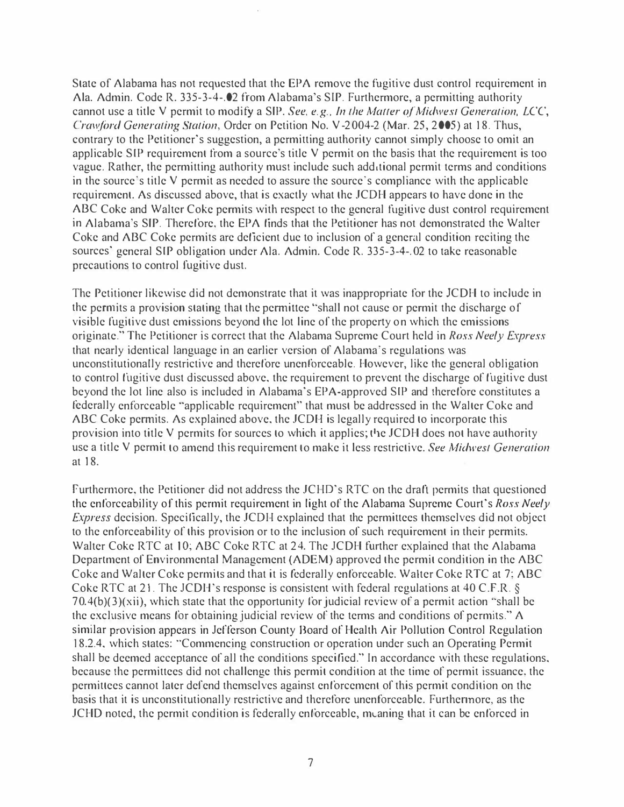State of Alabama has not requested that the EPA remove the fugitive dust control requirement in Ala. Admin. Code R. 335-3-4-.02 from Alabama's SIP. Furthermore, a permitting authority cannot use a title V permit to modify a SIP. See, e.g., In the Maller of Midwest Generation, LCC, Crawford Generating Station, Order on Petition No. V-2004-2 (Mar. 25, 2005) at 18. Thus, contrary to the Petitioner's suggestion, a permitting authority cannot simply choose to omit an applicable SIP requirement from a source's title V permit on the basis that the requirement is too vague. Rather, the permitting authority must include such additional permit terms and conditions in the source's title V permit as needed to assure the source's compliance with the applicable requirement. As discussed above, that is exactly what the JCDH appears to have done in the ABC Coke and Walter Coke permits with respect to the general fugitive dust control requirement in Alabama's SIP. Therefore, the EPA finds that the Petitioner has not demonstrated the Walter Coke and ABC Coke permits are deficient due to inclusion of a general condition reciting the sources' general SIP obligation under Ala. Admin. Code R. 335-3-4-.02 to take reasonable precautions to control fugitive dust.

The Petitioner likewise did not demonstrate that it was inappropriate for the JCDH to include in the permits a provision stating that the permittee "shall not cause or permit the discharge of visible fugitive dust emissions beyond the lot line of the property on which the emissions originate." The Petitioner is correct that the Alabama Supreme Court held in Ross Neely Express that nearly identical language in an earlier version of Alabama's regulations was unconstitutionally restrictive and therefore unenforceable. However, like the general obligation to control fugitive dust discussed above, the requirement to prevent the discharge of fugitive dust beyond the lot line also is included in Alabama's EPA-approved SIP and therefore constitutes a federally enforceable "applicable requirement" that must be addressed in the Walter Coke and ABC Coke permits. As explained above, the JCDH is legally required to incorporate this provision into title V permits for sources to which it applies; the JCDH does not have authority use a title V permit to amend this requirement to make it less restrictive. See Midwest Generation at 18.

Furthermore, the Petitioner did not address the JCHD's RTC on the draft permits that questioned the enforceability of this permit requirement in light of the Alabama Supreme Court's Ross Neely Express decision. Specifically, the JCDH explained that the permittees themselves did not object to the enforceability of this provision or to the inclusion of such requirement in their permits. Walter Coke RTC at 10; ABC Coke RTC at 24. The JCDH further explained that the Alabama Department of Environmental Management (ADEM) approved the permit condition in the ABC Coke and Walter Coke permits and that it is federally enforceable. Walter Coke RTC at 7; ABC Coke RTC at 21. The JCDH's response is consistent with federal regulations at 40 C.F.R. § 70.4(b)(3)(xii), which state that the opportunity for judicial review of a permit action "shall be the exclusive means for obtaining judicial review of the terms and conditions of permits." A similar provision appears in Jefferson County Board of Health Air Pollution Control Regulation 18.2.4, which states: "Commencing construction or operation under such an Operating Permit shall be deemed acceptance of all the conditions specified." In accordance with these regulations, because the permittees did not challenge this permit condition at the time of permit issuance, the permittees cannot later defend themselves against enforcement of this permit condition on the basis that it is unconstitutionally restrictive and therefore unenforceable. Furthermore, as the JCHD noted, the permit condition is federally enforceable, meaning that it can be enforced in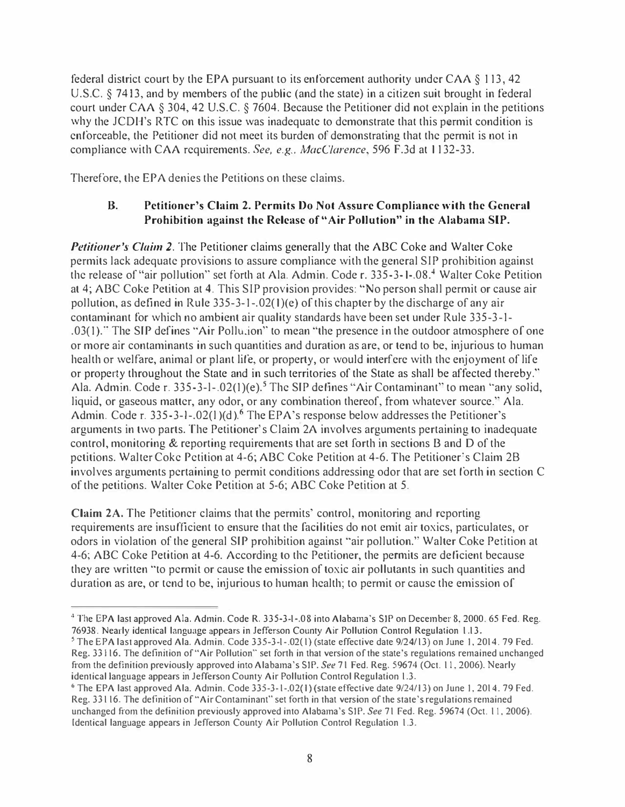federal district court by the EPA pursuant to its enforcement authority under CAA § 1 13, 42 U.S.C. § 7413, and by members of the public (and the state) in a citizen suit brought in federal court under CAA § 304, 42 U.S.C. § 7604. Because the Petitioner did not explain in the petitions why the JCDH's RTC on this issue was inadequate to demonstrate that this permit condition is enforceable, the Petitioner did not meet its burden of demonstrating that the permit is not in compliance with CAA requirements. See, e.g., MacClarence, 596 F.3d at 1132-33.

Therefore, the EPA denies the Petitions on these claims.

## B. Petitioner's Claim 2. Permits Do Not Assure Compliance with the General Prohibition against the Release of "Air Pollution" in the Alabama SIP.

Petitioner's Claim 2. The Petitioner claims generally that the ABC Coke and Walter Coke permits lack adequate provisions to assure compliance with the general SIP prohibition against the release of "air pollution" set forth at Ala. Admin. Code r. 335-3-1-.08.<sup>4</sup> Walter Coke Petition at 4; ABC Coke Petition at 4. This SIP provision provides: "No person shall permit or cause air pollution, as defined in Rule 335-3-1 -.02(1 )(e) of this chapter by the discharge of any air contaminant for which no ambient air quality standards have been set under Rule 335-3-1- .03( 1 )."The SIP defines "Air Pollujon" to mean "the presence in the outdoor atmosphere of one or more air contaminants in such quantities and duration as are, or tend to be, injurious to human health or welfare, animal or plant life, or property, or would interfere with the enjoyment of life or property throughout the State and in such territories of the State as shall be affected thereby." Ala. Admin. Code r. 335-3-1-.02(1)(e).<sup>5</sup> The SIP defines "Air Contaminant" to mean "any solid, liquid, or gaseous matter, any odor, or any combination thereof, from whatever source." Ala. Admin. Code r. 335-3-1-.02(1)(d).<sup>6</sup> The EPA's response below addresses the Petitioner's arguments in two parts. The Petitioner's Claim 2A involves arguments pertaining to inadequate control, monitoring & reporting requirements that are set forth in sections B and D of the petitions. Walter Coke Petition at 4-6; ABC Coke Petition at 4-6. The Petitioner"s Claim 28 involves arguments pertaining to permit conditions addressing odor that are set forth in section C of the petitions. Walter Coke Petition at 5-6; ABC Coke Petition at 5.

Claim 2A. The Petitioner claims that the permits' control, monitoring and reporting requirements are insufficient to ensure that the facilities do not emit air toxics, particulates, or odors in violation of the general SIP prohibition against "air pollution." Walter Coke Petition at 4-6; ABC Coke Petition at 4-6. According to the Petitioner, the permits are deficient because they are written "to permit or cause the emission of toxic air pollutants in such quantities and duration as are, or tend to be, injurious to human health; to permit or cause the emission of

<sup>4</sup>The EPA last approved Ala. Admin. Code R. 335-3-1-.08 into Alabama's SIP on December 8, 2000. 65 Fed. Reg. 76938. Nearly identical language appears in Jefferson County Air Pollution Control Regulation 1.13.

<sup>5</sup>The EPA last approved Ala. Admin. Code 335-3-1-.02( 1) (state effective date 9/24/ 13) on June I, 2014. 79 Fed. Reg. 331 16. The definition of"Air Pollution" set forth in that version of the state's regulations remained unchanged from the definition previously approved into Alabama's SIP. See 71 Fed. Reg. 59674 (Oct. 11, 2006). Nearly identical language appears in Jefferson County Air Pollution Control Regulation 1.3.

<sup>6</sup>The EPA last approved Ala. Admin. Code 335-3- 1-.02(1) (state effective date 9/24/13) on June I, 2014. 79 Fed. Reg. 33 1 16. The definition of"Air Contaminant" set forth in that version of the state's regulations remained unchanged from the definition previously approved into Alabama's S1P. See 71 Fed. Reg. 59674 (Oct. 11, 2006). Identical language appears in Jefferson County Air Pollution Control Regulation 1.3.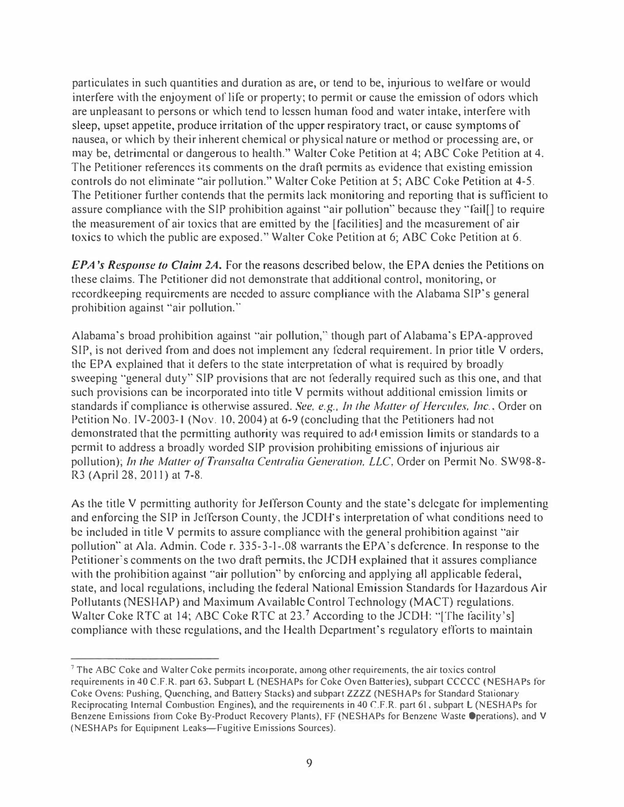particulates in such quantities and duration as arc, or tend to be, injurious to welfare or would interfere with the enjoyment of life or property; to permit or cause the emission of odors which are unpleasant to persons or which tend to lessen human food and water intake, interfere with sleep, upset appetite, produce irritation of the upper respiratory tract, or cause symptoms of nausea, or which by their inherent chemical or physical nature or method or processing are, or may be, detrimental or dangerous to health." Walter Coke Petition at 4; ABC Coke Petition at 4. The Petitioner references its comments on the draft permits as evidence that existing emission controls do not eliminate "air pollution." Walter Coke Petition at 5; ABC Coke Petition at 4-5. The Petitioner further contends that the permits lack monitoring and reporting that is sufficient to assure compliance with the SIP prohibition against "air pollution" because they ''fail[) to require the measurement of air toxics that are emitted by the [facilities] and the measurement of air toxics to which the public are exposed." Walter Coke Petition at 6; ABC Coke Petition at 6.

EPA's Response to Claim 2A. For the reasons described below, the EPA denies the Petitions on these claims. The Petitioner did not demonstrate that additional control, monitoring, or recordkeeping requirements are needed to assure compliance with the Alabama SIP's general prohibition against "air pollution."

Alabama's broad prohibition against "air pollution," though part of Alabama's EPA-approved SIP, is not derived from and does not implement any federal requirement. In prior title V orders, the EPA explained that it defers to the state interpretation of what is required by broadly sweeping "general duty" SIP provisions that are not federally required such as this one, and that such provisions can be incorporated into title V permits without additional emission limits or standards if compliance is otherwise assured. See, e.g., In the Matter of Hercules, Inc., Order on Petition No. IV-2003-1 (Nov. 10, 2004) at 6-9 (concluding that the Petitioners had not demonstrated that the permitting authority was required to add emission limits or standards to a permit to address a broadly worded SIP provision prohibiting emissions of injurious air pollution); In the Matter of Transalta Centralia Generation, LLC, Order on Permit No. SW98-8-R3 (April 28, 2011) at 7-8.

As the title V permitting authority for Jefferson County and the state's delegate for implementing and enforcing the SIP in Jefferson County, the JCDH's interpretation of what conditions need to be included in title V permits to assure compliance with the general prohibition against "air pollution" at Ala. Admin. Code r. 335-3-1-.08 warrants the EPA's deference. In response to the Petitioner's comments on the two draft permits, the JCDH explained that it assures compliance with the prohibition against "air pollution" by enforcing and applying all applicable federal, state, and local regulations, including the federal National Emission Standards for Hazardous Air Pollutants (NESHAP) and Maximum Available Control Technology (MACT) regulations. Walter Coke RTC at 14; ABC Coke RTC at 23.<sup>7</sup> According to the JCDH: "[The facility's] compliance with these regulations, and the Health Department's regulatory efforts to maintain

 $7$  The ABC Coke and Walter Coke permits incorporate, among other requirements, the air toxics control requirements in 40 C.F.R. part 63, Subpart L (NESHAPs for Coke Oven Baneries), subpart CCCCC (NESHAPs for Coke Ovens: Pushing, Quenching, and Battery Stacks) and subpart ZZZZ (NESHAPs for Standard Stationary Reciprocating Internal Combustion Engines), and the requirements in 40 CF.R. part 61, subpart L (NESHAPs for Benzene Emissions from Coke By-Product Recovery Plants), FF (NESHAPs for Benzene Waste Operations), and V (NESHAPs for Equipment Leaks-Fugitive Emissions Sources).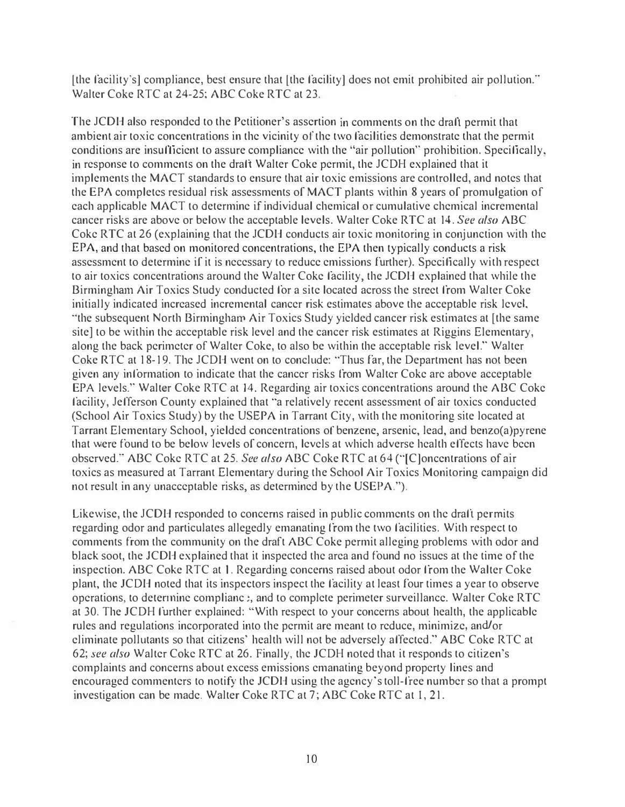(the facility's] compliance, best ensure that (the facility] does not emit prohibited air pollution." Walter Coke RTC at 24-25; ABC Coke RTC at 23.

The JCDH also responded to the Petitioner's assertion in comments on the draft permit that ambient air toxic concentrations in the vicinity of the two facilities demonstrate that the permit conditions are insufficient to assure compliance with the "air pollution" prohibition. Specifically, in response to comments on the draft Walter Coke permit, the JCDH explained that it implements the MACT standards to ensure that air toxic emissions are controlled, and notes that the EPA completes residual risk assessments of MACT plants within 8 years of promulgation of each applicable MACT to determine if individual chemical or cumulative chemical incremental cancer risks are above or below the acceptable levels. Walter Coke RTC at 14, See also ABC Coke RTC at 26 (explaining that the JCDH conducts air toxic monitoring in conjunction with the EPA, and that based on monitored concentrations, the EPA then typically conducts a risk assessment to determine if it is necessary to reduce emissions further). Specifically with respect to air toxics concentrations around the Walter Coke facility, the JCDH explained that while the Birmingham Air Toxics Study conducted for a site located across the street from Walter Coke initially indicated increased incremental cancer risk estimates above the acceptable risk level, "the subsequent North Birmingham Air Toxics Study yielded cancer risk estimates at [the same site] to be within the acceptable risk level and the cancer risk estimates at Riggins Elementary, along the back perimeter of Walter Coke, to also be within the acceptable risk level." Walter Coke RTC at 18-19. The JCDH went on to conclude: "Thus far, the Department has not been given any information to indicate that the cancer risks from Walter Coke are above acceptable EPA levels." Walter Coke RTC at 14. Regarding air toxics concentrations around the ABC Coke facility, Jefferson County explained that "a relatively recent assessment of air toxics conducted (School Air Toxics Study) by the USEPA in Tarrant City, with the monitoring site located at Tarrant Elementary School, yielded concentrations of benzene, arsenic, lead, and benzo(a)pyrene that were found to be below levels of concern, levels at which adverse health effects have been observed." ABC Coke RTC at 25. See also ABC Coke RTC at 64 ("[C]oncentrations of air toxics as measured at Tarrant Elementary during the School Air Toxics Monitoring campaign did not result in any unacceptable risks, as determined by the USEPA.").

Likewise, the JCDH responded to concerns raised in public comments on the draft permits regarding odor and particulates allegedly emanating from the two facilities. With respect to comments from the community on the draft ABC Coke permit alleging problems with odor and black soot, the JCDH explained that it inspected the area and found no issues at the time of the inspection. ABC Coke RTC at 1. Regarding concerns raised about odor from the Walter Coke plant, the JCDH noted that its inspectors inspect the facility at least four times a year to observe operations, to determine compliane :, and to complete perimeter surveillance. Walter Coke RTC at 30. The JCDH further explained: "With respect to your concerns about health, the applicable rules and regulations incorporated into the permit are meant to reduce, minimize, and/or eliminate pollutants so that citizens' health will not be adversely affected." ABC Coke RTC at 62; see also Walter Coke RTC at 26. Finally, the JCDH noted that it responds to citizen's complaints and concerns about excess emissions emanating beyond property lines and encouraged commenters to notify the JCDH using the agency's toll-free number so that a prompt investigation can be made. Walter Coke RTC at 7; ABC Coke RTC at I, 21.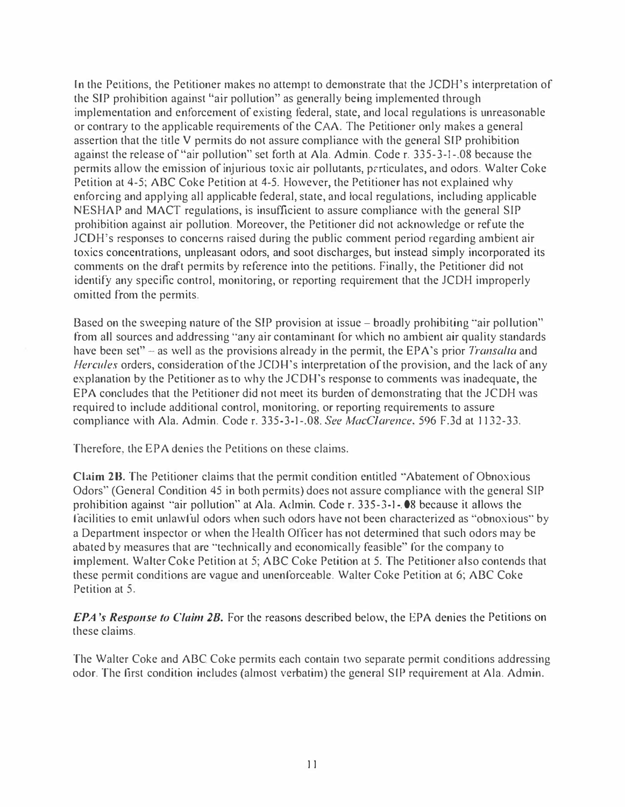In the Petitions, the Petitioner makes no attempt to demonstrate that the JCOH's interpretation of the SIP prohibition against "air pollution" as generally being implemented through implementation and enforcement of existing federal, state, and local regulations is unreasonable or contrary to the applicable requirements of the CAA. The Petitioner only makes a general assertion that the title V permits do not assure compliance with the general SIP prohibition against the release of "air pollution" set forth at Ala. Admin. Code r. 335-3-1-.08 because the permits allow the emission of injurious toxic air pollutants, prrticulates, and odors. Walter Coke Petition at 4-5; ABC Coke Petition at 4-5. However, the Petitioner has not explained why enforcing and applying all applicable federal, state, and local regulations, including applicable NESHAP and MACT regulations, is insufficient to assure compliance with the general SIP prohibition against air pollution. Moreover, the Petitioner did not acknowledge or refute the JCDH's responses to concerns raised during the public comment period regarding ambient air toxics concentrations, unpleasant odors, and soot discharges, but instead simply incorporated its comments on the draft permits by reference into the petitions. Finally, the Petitioner did not identify any specific control, monitoring, or reporting requirement that the JCDH improperly omitted from the permits.

Based on the sweeping nature of the SIP provision at issue – broadly prohibiting "air pollution" from all sources and addressing "any air contaminant for which no ambient air quality standards have been set" – as well as the provisions already in the permit, the EPA's prior Transalta and Hercules orders, consideration of the JCOH's interpretation of the provision, and the lack of any explanation by the Petitioner as to why the JCDH's response to comments was inadequate, the EPA concludes that the Petitioner did not meet its burden of demonstrating that the JCDH was required to include additional control, monitoring, or reporting requirements to assure compliance with Ala. Admin. Code r. 335-3-1-.08. See MacClarence, 596 F.3d at 1132-33.

Therefore, the EPA denies the Petitions on these claims.

Claim 2B. The Petitioner claims that the permit condition entitled "Abatement of Obnoxious Odors" (General Condition 45 in both permits) does not assure compliance with the general SIP prohibition against "air pollution" at Ala. Aclmin. Code r. 335-3-1 -.08 because it allows the facilities to emit unlawful odors when such odors have not been characterized as "obnoxious" by a Department inspector or when the Health Officer has not determined that such odors may be abated by measures that are "technically and economically feasible" for the company to implement. Walter Coke Petition at 5; ABC Coke Petition at 5. The Petitioner also contends that these permit conditions are vague and unenforceable. Walter Coke Petition at 6; ABC Coke Petition at 5.

**EPA's Response to Claim 2B.** For the reasons described below, the EPA denies the Petitions on these claims.

The Walter Coke and ABC Coke permits each contain two separate permit conditions addressing odor. The first condition includes (almost verbatim) the general SIP requirement at Ala. Admin.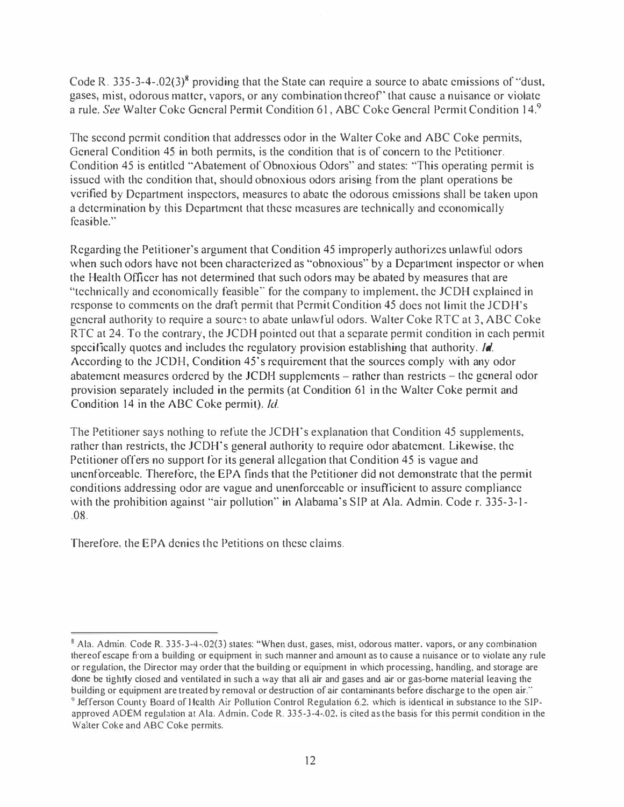Code R. 335-3-4-.02(3)<sup>8</sup> providing that the State can require a source to abate emissions of "dust, gases, mist, odorous matter, vapors, or any combination thereof' that cause a nuisance or violate a rule. See Walter Coke General Permit Condition 61, ABC Coke General Permit Condition 14.9

The second permit condition that addresses odor in the Walter Coke and ABC Coke permits, General Condition 45 in both permits, is the condition that is of concern lo the Petitioner. Condition 45 is entitled "Abatement of Obnoxious Odors" and states: "This operating permit is issued with the condition that, should obnoxious odors arising from the plant operations be verified by Department inspectors, measures to abate the odorous emissions shall be taken upon a determination by this Department that these measures are technically and economically feasible."

Regarding the Petitioner's argument that Condition 45 improperly authorizes unlawful odors when such odors have not been characterized as "obnoxious" by a Department inspector or when the Health Officer has not determined that such odors may be abated by measures that are "technically and economically feasible" for the company to implement, the JCDH explained in response to comments on the draft permit that Permit Condition 45 does not limit the JCDH's general authority to require a source to abate unlawful odors. Walter Coke RTC at 3, ABC Coke RTC at 24. To the contrary, the JCDH pointed out that a separate permit condition in each permit specifically quotes and includes the regulatory provision establishing that authority. Id. According to the JCOH, Condition 45's requirement that the sources comply with any odor abatement measures ordered by the JCDH supplements  $-$  rather than restricts  $-$  the general odor provision separately included in the permits (at Condition 61 in the Walter Coke permit and Condition 14 in the ABC Coke permit). Id.

The Petitioner says nothing to refute the JCDH's explanation that Condition 45 supplements, rather than restricts, the JCDH's general authority to require odor abatement. Likewise, the Petitioner offers no support for its general allegation that Condition 45 is vague and unenforceable. Therefore, the EPA finds that the Petitioner did not demonstrate that the permit conditions addressing odor are vague and unenforceable or insufficient to assure compliance with the prohibition against "air pollution" in Alabama's SIP at Ala. Admin. Code r. 335-3-1-.08.

Therefore, the EPA denies the Petitions on these claims.

<sup>&</sup>lt;sup>8</sup> Ala. Admin. Code R. 335-3-4-.02(3) states: "When dust, gases, mist, odorous matter, vapors, or any combination thereof escape from a building or equipment in such manner and amount as to cause a nuisance or to violate any rule or regulation, the Director may order that the building or equipment in which processing. handling, and storage are done be tightly closed and ventilated in such a way that all air and gases and air or gas-borne material leaving the building or equipment are treated by removal or destruction of air contaminants before discharge to the open air." <sup>9</sup> Jefferson County Board of Health Air Pollution Control Regulation 6.2, which is identical in substance to the SIPapproved ADEM regulation at Ala. Admin. Code R. 335-3-4-.02, is cited as the basis for this permit condition in the

Walter Coke and ABC Coke permits.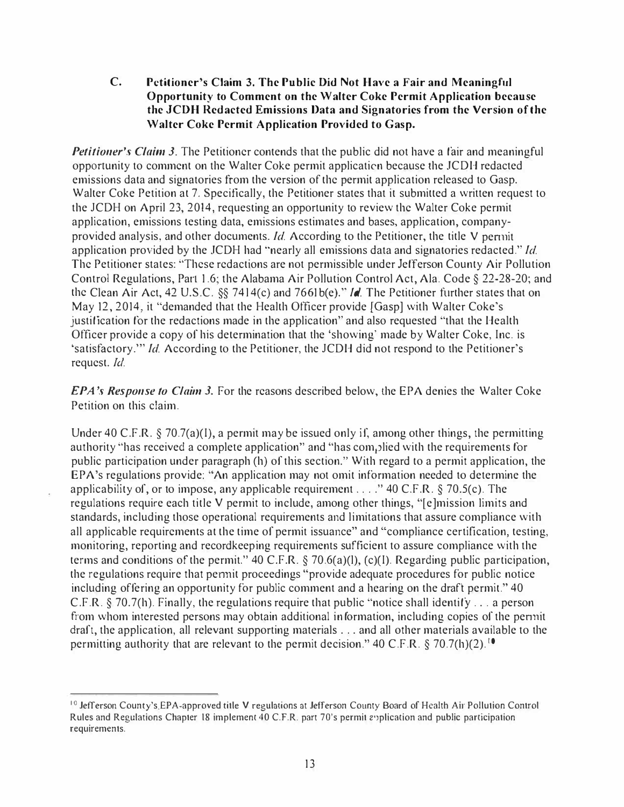## C. Petitioner's Claim 3. The Public Did Not Have a Fair and Meaningful Opportunity to Comment on the Walter Coke Permit Application because the JCDH Redacted Emissions Data and Signatories from the Version of the Walter Coke Permit Application Provided to Gasp.

Petitioner's Claim 3. The Petitioner contends that the public did not have a fair and meaningful opportunity to comment on the Walter Coke permit application because the JCDH redacted emissions data and signatories from the version of the permit application released to Gasp. Walter Coke Petition at 7. Specifically, the Petitioner states that it submitted a written request to the JCDH on April 23, 2014, requesting an opportunity to review the Walter Coke permit application, emissions testing data, emissions estimates and bases, application, companyprovided analysis, and other documents. Id. According to the Petitioner, the title V permit application provided by the JCDH had "nearly all emissions data and signatories redacted." Id. The Petitioner stales: "These redactions are not permissible under Jefferson County Air Pollution Control Regulations, Part 1.6; the Alabama Air Pollution Control Act, Ala. Code § 22-28-20; and the Clean Air Act, 42 U.S.C. §§ 7414(c) and 7661b(e)." *Id*. The Petitioner further states that on May 12, 2014, it "demanded that the Health Officer provide [Gasp] with Walter Coke's justification for the redactions made in the application" and also requested "that the Health Officer provide a copy of his determination that the 'showing' made by Walter Coke, Inc. is 'satisfactory."' Id. According to the Petitioner, the JCDH did not respond to the Petitioner's request. Id.

EPA's Response to Claim 3. For the reasons described below, the EPA denies the Walter Coke Petition on this claim.

Under 40 C.F.R. § 70.7(a)(I), a permit may be issued only if, among other things, the permitting authority "has received a complete application" and "has complied with the requirements for public participation under paragraph (h) of this section." With regard to a permit application, the EPA's regulations provide: "An application may not omit information needed to determine the applicability of, or to impose, any applicable requirement .... " 40 C.F.R. § 70.5(c). The regulations require each title V permit to include, among other things, "[e]mission limits and standards, including those operational requirements and limitations that assure compliance with all applicable requirements at the time of permit issuance" and "compliance certification, testing, monitoring, reporting and recordkeeping requirements sufficient to assure compliance with the terms and conditions of the permit." 40 C.F.R. § 70.6(a)(l), (c)(I). Regarding public participation, the regulations require that permit proceedings "provide adequate procedures for public notice including offering an opportunity for public comment and a hearing on the draft permit." 40 C.F.R. § 70.7(h). Finally, the regulations require that public "notice shall identify ... a person from whom interested persons may obtain additional information, including copies of the pennit draft, the application, all relevant supporting materials ... and all other materials available to the permitting authority that are relevant to the permit decision." 40 C.F.R. § 70.7(h)(2).<sup>10</sup>

<sup>&</sup>lt;sup>10</sup> Jefferson County's EPA-approved title V regulations at Jefferson County Board of Health Air Pollution Control Rules and Regulations Chapter 18 implement 40 C.F.R. part ?O's permit 2')plication and public participation requirements.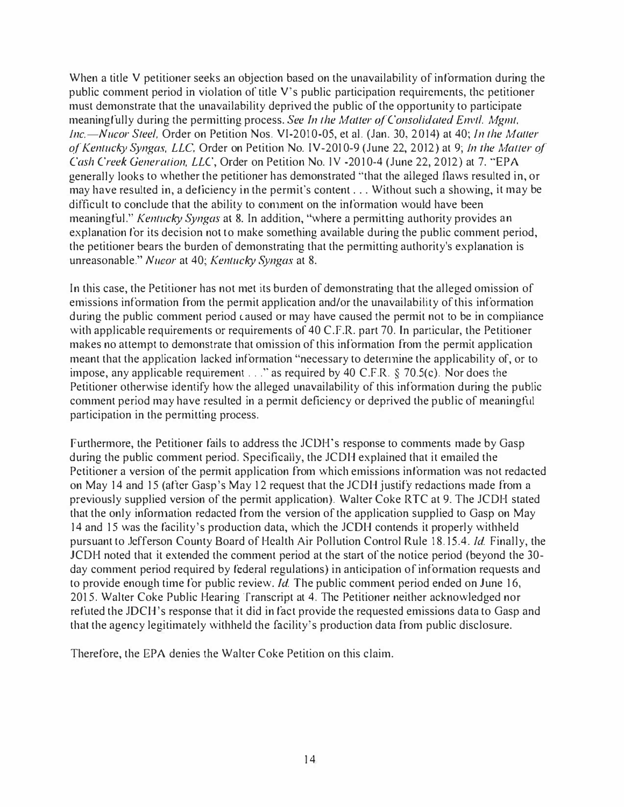When a title V petitioner seeks an objection based on the unavailability of information during the public comment period in violation of title V's public participation requirements, the petitioner must demonstrate that the unavailability deprived the public of the opportunity to participate meaningfully during the permitting process. See In the Matter of Consolidated Envtl. Mgmt, Inc.-Nucor Steel, Order on Petition Nos. VI-2010-05, et al. (Jan. 30, 2014) at 40; In the Matter of Kentucky Syngas, LLC, Order on Petition No. IV-201 0-9 (June 22, 2012) at 9; Jn the Matier of Cash Creek Generation, LLC, Order on Petition No. 1V -2010-4 (June 22, 2012) at 7. "EPA generally looks to whether the petitioner has demonstrated "that the alleged flaws resulted in, or may have resulted in, a deficiency in the permit's content ... Without such a showing, it may be difficult to conclude that the ability to conunent on the information would have been meaningful." Kentucky Syngas at 8. In addition, "where a permitting authority provides an explanation for its decision not to make something available during the public comment period, the petitioner bears the burden of demonstrating that the permitting authority's explanation is unreasonable." Nucor at 40; Kentucky Syngas at 8.

In this case, the Petitioner has not met its burden of demonstrating that the alleged omission of emissions information from the permit application and/or the unavailability of this information during the public comment period caused or may have caused the permit not to be in compliance with applicable requirements or requirements of 40 C.F.R. part 70. In particular, the Petitioner makes no attempt to demonstrate that omission of this information from the permit application meant that the application lacked information "necessary to detennine the applicability of, or to impose, any applicable requirement ... " as required by 40 C.F.R. § 70.S(c). Nor does the Petitioner otherwise identify how the alleged unavailability of this information during the public comment period may have resulted in a permit deficiency or deprived the public of meaningful participation in the permitting process.

Furthermore, the Petitioner fails to address the JCOH's response to comments made by Gasp during the public comment period. Specifically, the JCDH explained that it emailed the Petitioner a version of the permit application from which emissions information was not redacted on May 14 and 15 (after Gasp's May 12 request that the JCDH justify redactions made from a previously supplied version of the permit application). Walter Coke RTC at 9. The JCDH stated that the only information redacted from the version of the application supplied to Gasp on May 14 and 15 was the facility's production data, which the JCDH contends it properly withheld pursuant to .Jefferson County Board of Health Air Pollution Control Rule 18.15.4. Id. Finally, the JCDH noted that it extended the comment period at the start of the notice period (beyond the 30 day comment period required by federal regulations) in anticipation of information requests and to provide enough time for public review. *Id*. The public comment period ended on June 16, 201 5. Walter Coke Public Hearing Transcript at 4. The Petitioner neither acknowledged nor refuted the JDCH's response that it did in fact provide the requested emissions data to Gasp and that the agency legitimately withheld the facility's production data from public disclosure.

Therefore, the EPA denies the Walter Coke Petition on this claim.